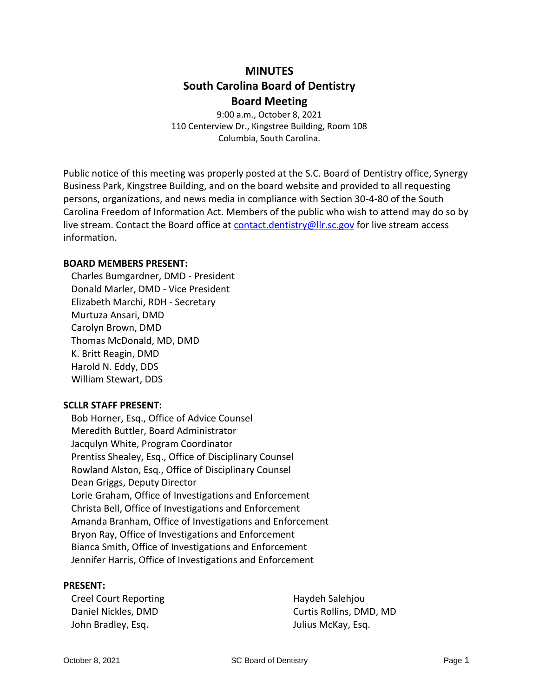# **MINUTES South Carolina Board of Dentistry Board Meeting**

9:00 a.m., October 8, 2021 110 Centerview Dr., Kingstree Building, Room 108 Columbia, South Carolina.

Public notice of this meeting was properly posted at the S.C. Board of Dentistry office, Synergy Business Park, Kingstree Building, and on the board website and provided to all requesting persons, organizations, and news media in compliance with Section 30-4-80 of the South Carolina Freedom of Information Act. Members of the public who wish to attend may do so by live stream. Contact the Board office at [contact.dentistry@llr.sc.gov](mailto:contact.dentistry@llr.sc.gov) for live stream access information.

## **BOARD MEMBERS PRESENT:**

Charles Bumgardner, DMD - President Donald Marler, DMD - Vice President Elizabeth Marchi, RDH - Secretary Murtuza Ansari, DMD Carolyn Brown, DMD Thomas McDonald, MD, DMD K. Britt Reagin, DMD Harold N. Eddy, DDS William Stewart, DDS

# **SCLLR STAFF PRESENT:**

Bob Horner, Esq., Office of Advice Counsel Meredith Buttler, Board Administrator Jacqulyn White, Program Coordinator Prentiss Shealey, Esq., Office of Disciplinary Counsel Rowland Alston, Esq., Office of Disciplinary Counsel Dean Griggs, Deputy Director Lorie Graham, Office of Investigations and Enforcement Christa Bell, Office of Investigations and Enforcement Amanda Branham, Office of Investigations and Enforcement Bryon Ray, Office of Investigations and Enforcement Bianca Smith, Office of Investigations and Enforcement Jennifer Harris, Office of Investigations and Enforcement

#### **PRESENT:**

Creel Court Reporting Daniel Nickles, DMD John Bradley, Esq.

Haydeh Salehjou Curtis Rollins, DMD, MD Julius McKay, Esq.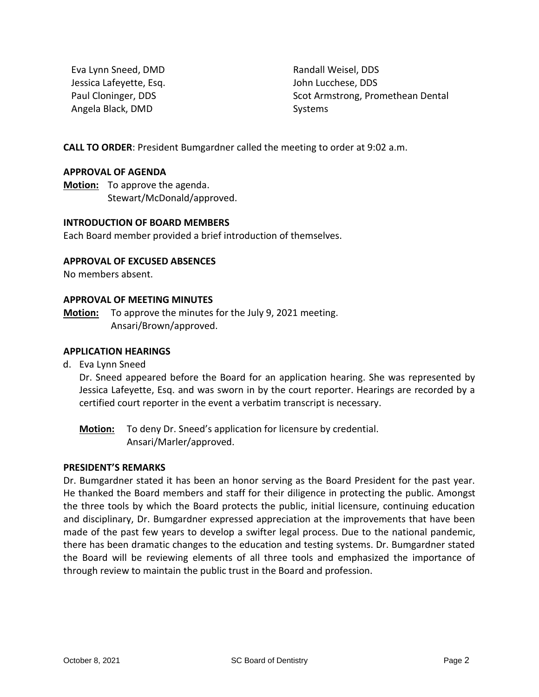Eva Lynn Sneed, DMD Jessica Lafeyette, Esq. Paul Cloninger, DDS Angela Black, DMD

Randall Weisel, DDS John Lucchese, DDS Scot Armstrong, Promethean Dental Systems

**CALL TO ORDER**: President Bumgardner called the meeting to order at 9:02 a.m.

#### **APPROVAL OF AGENDA**

**Motion:** To approve the agenda. Stewart/McDonald/approved.

#### **INTRODUCTION OF BOARD MEMBERS**

Each Board member provided a brief introduction of themselves.

#### **APPROVAL OF EXCUSED ABSENCES**

No members absent.

#### **APPROVAL OF MEETING MINUTES**

**Motion:** To approve the minutes for the July 9, 2021 meeting. Ansari/Brown/approved.

## **APPLICATION HEARINGS**

d. Eva Lynn Sneed

Dr. Sneed appeared before the Board for an application hearing. She was represented by Jessica Lafeyette, Esq. and was sworn in by the court reporter. Hearings are recorded by a certified court reporter in the event a verbatim transcript is necessary.

**Motion:** To deny Dr. Sneed's application for licensure by credential. Ansari/Marler/approved.

#### **PRESIDENT'S REMARKS**

Dr. Bumgardner stated it has been an honor serving as the Board President for the past year. He thanked the Board members and staff for their diligence in protecting the public. Amongst the three tools by which the Board protects the public, initial licensure, continuing education and disciplinary, Dr. Bumgardner expressed appreciation at the improvements that have been made of the past few years to develop a swifter legal process. Due to the national pandemic, there has been dramatic changes to the education and testing systems. Dr. Bumgardner stated the Board will be reviewing elements of all three tools and emphasized the importance of through review to maintain the public trust in the Board and profession.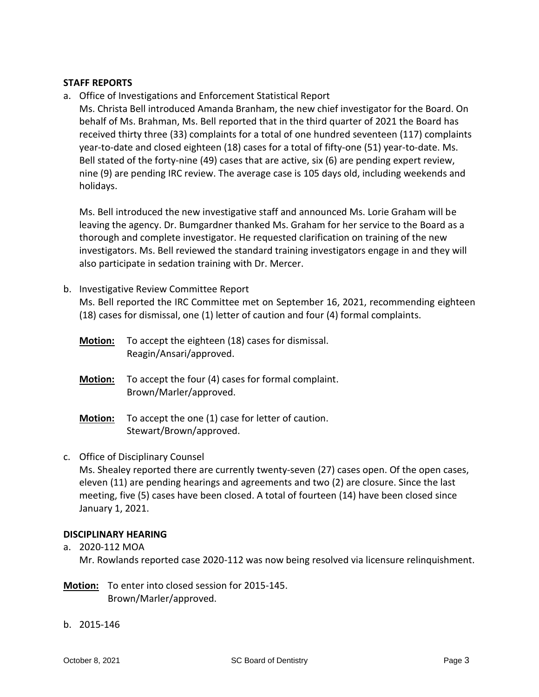## **STAFF REPORTS**

a. Office of Investigations and Enforcement Statistical Report

Ms. Christa Bell introduced Amanda Branham, the new chief investigator for the Board. On behalf of Ms. Brahman, Ms. Bell reported that in the third quarter of 2021 the Board has received thirty three (33) complaints for a total of one hundred seventeen (117) complaints year-to-date and closed eighteen (18) cases for a total of fifty-one (51) year-to-date. Ms. Bell stated of the forty-nine (49) cases that are active, six (6) are pending expert review, nine (9) are pending IRC review. The average case is 105 days old, including weekends and holidays.

Ms. Bell introduced the new investigative staff and announced Ms. Lorie Graham will be leaving the agency. Dr. Bumgardner thanked Ms. Graham for her service to the Board as a thorough and complete investigator. He requested clarification on training of the new investigators. Ms. Bell reviewed the standard training investigators engage in and they will also participate in sedation training with Dr. Mercer.

## b. Investigative Review Committee Report

Ms. Bell reported the IRC Committee met on September 16, 2021, recommending eighteen (18) cases for dismissal, one (1) letter of caution and four (4) formal complaints.

| <b>Motion:</b> | To accept the eighteen (18) cases for dismissal.<br>Reagin/Ansari/approved.  |
|----------------|------------------------------------------------------------------------------|
| <b>Motion:</b> | To accept the four (4) cases for formal complaint.<br>Brown/Marler/approved. |
| <b>Motion:</b> | To accept the one (1) case for letter of caution.<br>Stewart/Brown/approved. |

# c. Office of Disciplinary Counsel

Ms. Shealey reported there are currently twenty-seven (27) cases open. Of the open cases, eleven (11) are pending hearings and agreements and two (2) are closure. Since the last meeting, five (5) cases have been closed. A total of fourteen (14) have been closed since January 1, 2021.

# **DISCIPLINARY HEARING**

- a. 2020-112 MOA Mr. Rowlands reported case 2020-112 was now being resolved via licensure relinquishment.
- **Motion:** To enter into closed session for 2015-145. Brown/Marler/approved.
- b. 2015-146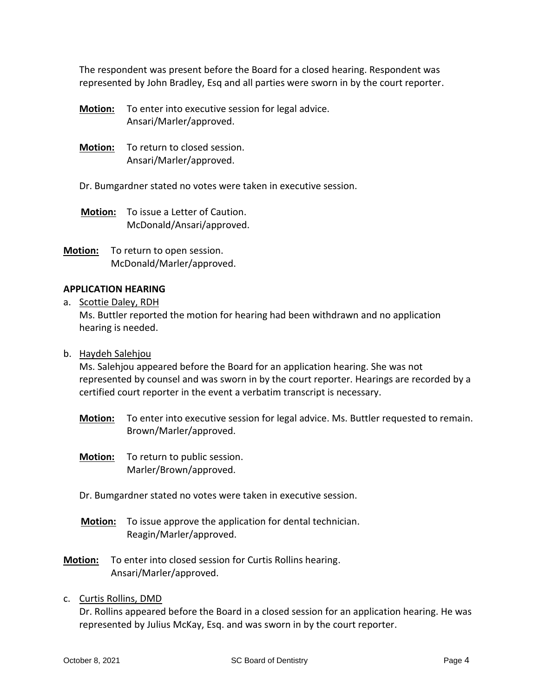The respondent was present before the Board for a closed hearing. Respondent was represented by John Bradley, Esq and all parties were sworn in by the court reporter.

- **Motion:** To enter into executive session for legal advice. Ansari/Marler/approved.
- **Motion:** To return to closed session. Ansari/Marler/approved.
- Dr. Bumgardner stated no votes were taken in executive session.
- **Motion:** To issue a Letter of Caution. McDonald/Ansari/approved.
- **Motion:** To return to open session. McDonald/Marler/approved.

#### **APPLICATION HEARING**

a. Scottie Daley, RDH

Ms. Buttler reported the motion for hearing had been withdrawn and no application hearing is needed.

b. Haydeh Salehjou

Ms. Salehjou appeared before the Board for an application hearing. She was not represented by counsel and was sworn in by the court reporter. Hearings are recorded by a certified court reporter in the event a verbatim transcript is necessary.

- **Motion:** To enter into executive session for legal advice. Ms. Buttler requested to remain. Brown/Marler/approved.
- **Motion:** To return to public session. Marler/Brown/approved.
- Dr. Bumgardner stated no votes were taken in executive session.
- **Motion:** To issue approve the application for dental technician. Reagin/Marler/approved.
- **Motion:** To enter into closed session for Curtis Rollins hearing. Ansari/Marler/approved.
- c. Curtis Rollins, DMD

Dr. Rollins appeared before the Board in a closed session for an application hearing. He was represented by Julius McKay, Esq. and was sworn in by the court reporter.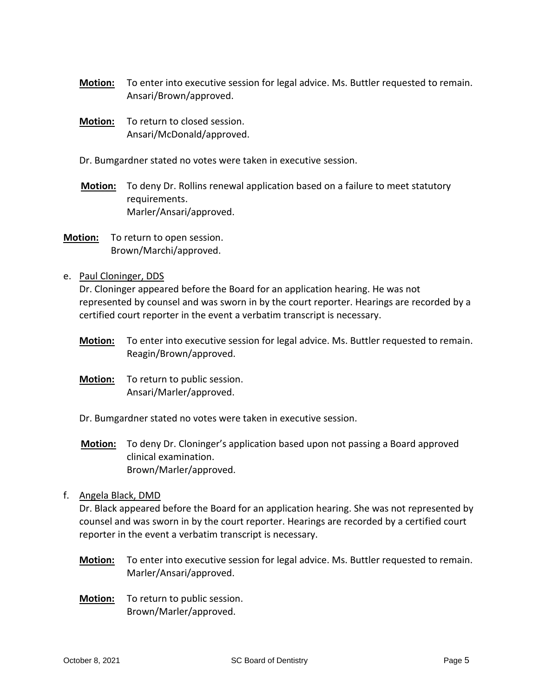- **Motion:** To enter into executive session for legal advice. Ms. Buttler requested to remain. Ansari/Brown/approved.
- **Motion:** To return to closed session. Ansari/McDonald/approved.
- Dr. Bumgardner stated no votes were taken in executive session.
- **Motion:** To deny Dr. Rollins renewal application based on a failure to meet statutory requirements. Marler/Ansari/approved.
- **Motion:** To return to open session. Brown/Marchi/approved.
- e. Paul Cloninger, DDS

Dr. Cloninger appeared before the Board for an application hearing. He was not represented by counsel and was sworn in by the court reporter. Hearings are recorded by a certified court reporter in the event a verbatim transcript is necessary.

- **Motion:** To enter into executive session for legal advice. Ms. Buttler requested to remain. Reagin/Brown/approved.
- **Motion:** To return to public session. Ansari/Marler/approved.
- Dr. Bumgardner stated no votes were taken in executive session.
- **Motion:** To deny Dr. Cloninger's application based upon not passing a Board approved clinical examination. Brown/Marler/approved.
- f. Angela Black, DMD

Dr. Black appeared before the Board for an application hearing. She was not represented by counsel and was sworn in by the court reporter. Hearings are recorded by a certified court reporter in the event a verbatim transcript is necessary.

- **Motion:** To enter into executive session for legal advice. Ms. Buttler requested to remain. Marler/Ansari/approved.
- **Motion:** To return to public session. Brown/Marler/approved.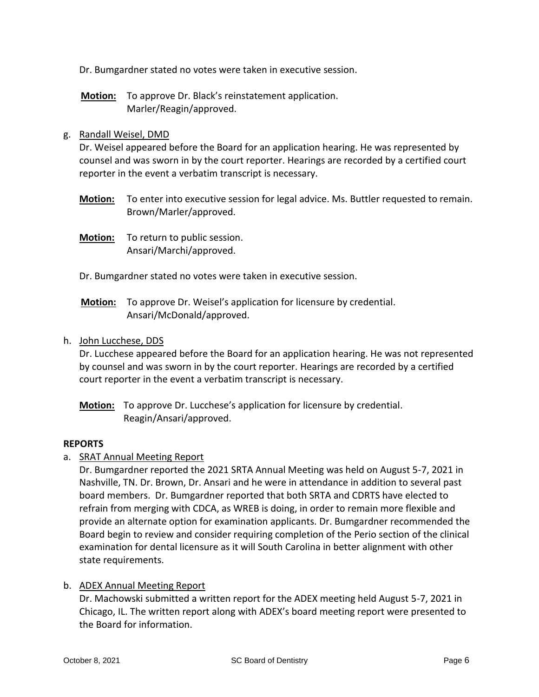Dr. Bumgardner stated no votes were taken in executive session.

**Motion:** To approve Dr. Black's reinstatement application. Marler/Reagin/approved.

## g. Randall Weisel, DMD

Dr. Weisel appeared before the Board for an application hearing. He was represented by counsel and was sworn in by the court reporter. Hearings are recorded by a certified court reporter in the event a verbatim transcript is necessary.

- **Motion:** To enter into executive session for legal advice. Ms. Buttler requested to remain. Brown/Marler/approved.
- **Motion:** To return to public session. Ansari/Marchi/approved.
- Dr. Bumgardner stated no votes were taken in executive session.
- **Motion:** To approve Dr. Weisel's application for licensure by credential. Ansari/McDonald/approved.

## h. John Lucchese, DDS

Dr. Lucchese appeared before the Board for an application hearing. He was not represented by counsel and was sworn in by the court reporter. Hearings are recorded by a certified court reporter in the event a verbatim transcript is necessary.

**Motion:** To approve Dr. Lucchese's application for licensure by credential. Reagin/Ansari/approved.

#### **REPORTS**

a. SRAT Annual Meeting Report

Dr. Bumgardner reported the 2021 SRTA Annual Meeting was held on August 5-7, 2021 in Nashville, TN. Dr. Brown, Dr. Ansari and he were in attendance in addition to several past board members. Dr. Bumgardner reported that both SRTA and CDRTS have elected to refrain from merging with CDCA, as WREB is doing, in order to remain more flexible and provide an alternate option for examination applicants. Dr. Bumgardner recommended the Board begin to review and consider requiring completion of the Perio section of the clinical examination for dental licensure as it will South Carolina in better alignment with other state requirements.

#### b. ADEX Annual Meeting Report

Dr. Machowski submitted a written report for the ADEX meeting held August 5-7, 2021 in Chicago, IL. The written report along with ADEX's board meeting report were presented to the Board for information.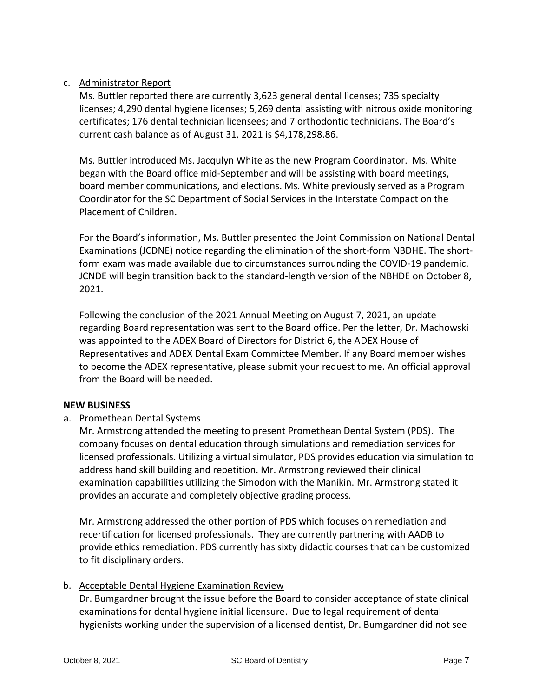# c. Administrator Report

Ms. Buttler reported there are currently 3,623 general dental licenses; 735 specialty licenses; 4,290 dental hygiene licenses; 5,269 dental assisting with nitrous oxide monitoring certificates; 176 dental technician licensees; and 7 orthodontic technicians. The Board's current cash balance as of August 31, 2021 is \$4,178,298.86.

Ms. Buttler introduced Ms. Jacqulyn White as the new Program Coordinator. Ms. White began with the Board office mid-September and will be assisting with board meetings, board member communications, and elections. Ms. White previously served as a Program Coordinator for the SC Department of Social Services in the Interstate Compact on the Placement of Children.

For the Board's information, Ms. Buttler presented the Joint Commission on National Dental Examinations (JCDNE) notice regarding the elimination of the short-form NBDHE. The shortform exam was made available due to circumstances surrounding the COVID-19 pandemic. JCNDE will begin transition back to the standard-length version of the NBHDE on October 8, 2021.

Following the conclusion of the 2021 Annual Meeting on August 7, 2021, an update regarding Board representation was sent to the Board office. Per the letter, Dr. Machowski was appointed to the ADEX Board of Directors for District 6, the ADEX House of Representatives and ADEX Dental Exam Committee Member. If any Board member wishes to become the ADEX representative, please submit your request to me. An official approval from the Board will be needed.

# **NEW BUSINESS**

# a. Promethean Dental Systems

Mr. Armstrong attended the meeting to present Promethean Dental System (PDS). The company focuses on dental education through simulations and remediation services for licensed professionals. Utilizing a virtual simulator, PDS provides education via simulation to address hand skill building and repetition. Mr. Armstrong reviewed their clinical examination capabilities utilizing the Simodon with the Manikin. Mr. Armstrong stated it provides an accurate and completely objective grading process.

Mr. Armstrong addressed the other portion of PDS which focuses on remediation and recertification for licensed professionals. They are currently partnering with AADB to provide ethics remediation. PDS currently has sixty didactic courses that can be customized to fit disciplinary orders.

# b. Acceptable Dental Hygiene Examination Review

Dr. Bumgardner brought the issue before the Board to consider acceptance of state clinical examinations for dental hygiene initial licensure. Due to legal requirement of dental hygienists working under the supervision of a licensed dentist, Dr. Bumgardner did not see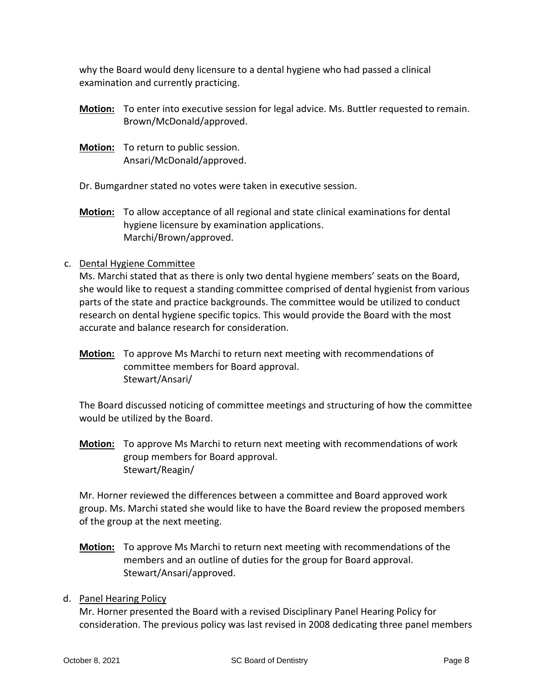why the Board would deny licensure to a dental hygiene who had passed a clinical examination and currently practicing.

- **Motion:** To enter into executive session for legal advice. Ms. Buttler requested to remain. Brown/McDonald/approved.
- **Motion:** To return to public session. Ansari/McDonald/approved.

Dr. Bumgardner stated no votes were taken in executive session.

**Motion:** To allow acceptance of all regional and state clinical examinations for dental hygiene licensure by examination applications. Marchi/Brown/approved.

# c. Dental Hygiene Committee

Ms. Marchi stated that as there is only two dental hygiene members' seats on the Board, she would like to request a standing committee comprised of dental hygienist from various parts of the state and practice backgrounds. The committee would be utilized to conduct research on dental hygiene specific topics. This would provide the Board with the most accurate and balance research for consideration.

**Motion:** To approve Ms Marchi to return next meeting with recommendations of committee members for Board approval. Stewart/Ansari/

The Board discussed noticing of committee meetings and structuring of how the committee would be utilized by the Board.

**Motion:** To approve Ms Marchi to return next meeting with recommendations of work group members for Board approval. Stewart/Reagin/

Mr. Horner reviewed the differences between a committee and Board approved work group. Ms. Marchi stated she would like to have the Board review the proposed members of the group at the next meeting.

**Motion:** To approve Ms Marchi to return next meeting with recommendations of the members and an outline of duties for the group for Board approval. Stewart/Ansari/approved.

# d. Panel Hearing Policy

Mr. Horner presented the Board with a revised Disciplinary Panel Hearing Policy for consideration. The previous policy was last revised in 2008 dedicating three panel members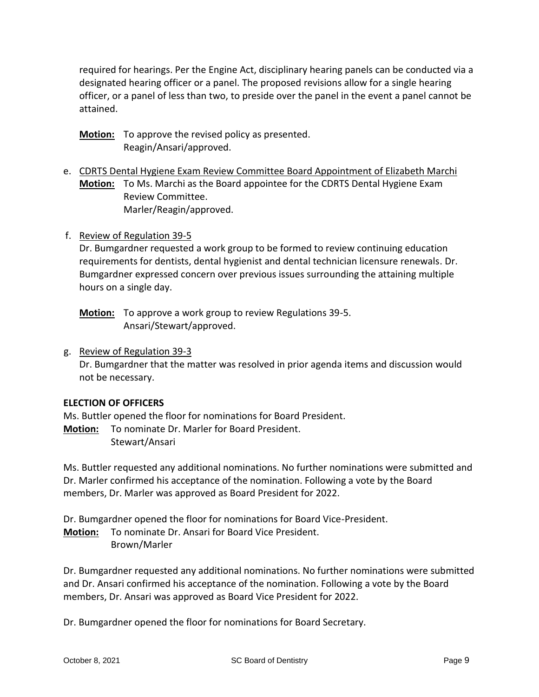required for hearings. Per the Engine Act, disciplinary hearing panels can be conducted via a designated hearing officer or a panel. The proposed revisions allow for a single hearing officer, or a panel of less than two, to preside over the panel in the event a panel cannot be attained.

- **Motion:** To approve the revised policy as presented. Reagin/Ansari/approved.
- e. CDRTS Dental Hygiene Exam Review Committee Board Appointment of Elizabeth Marchi **Motion:** To Ms. Marchi as the Board appointee for the CDRTS Dental Hygiene Exam Review Committee. Marler/Reagin/approved.
- f. Review of Regulation 39-5

Dr. Bumgardner requested a work group to be formed to review continuing education requirements for dentists, dental hygienist and dental technician licensure renewals. Dr. Bumgardner expressed concern over previous issues surrounding the attaining multiple hours on a single day.

**Motion:** To approve a work group to review Regulations 39-5. Ansari/Stewart/approved.

g. Review of Regulation 39-3

Dr. Bumgardner that the matter was resolved in prior agenda items and discussion would not be necessary.

# **ELECTION OF OFFICERS**

Ms. Buttler opened the floor for nominations for Board President.

**Motion:** To nominate Dr. Marler for Board President. Stewart/Ansari

Ms. Buttler requested any additional nominations. No further nominations were submitted and Dr. Marler confirmed his acceptance of the nomination. Following a vote by the Board members, Dr. Marler was approved as Board President for 2022.

Dr. Bumgardner opened the floor for nominations for Board Vice-President. **Motion:** To nominate Dr. Ansari for Board Vice President. Brown/Marler

Dr. Bumgardner requested any additional nominations. No further nominations were submitted and Dr. Ansari confirmed his acceptance of the nomination. Following a vote by the Board members, Dr. Ansari was approved as Board Vice President for 2022.

Dr. Bumgardner opened the floor for nominations for Board Secretary.